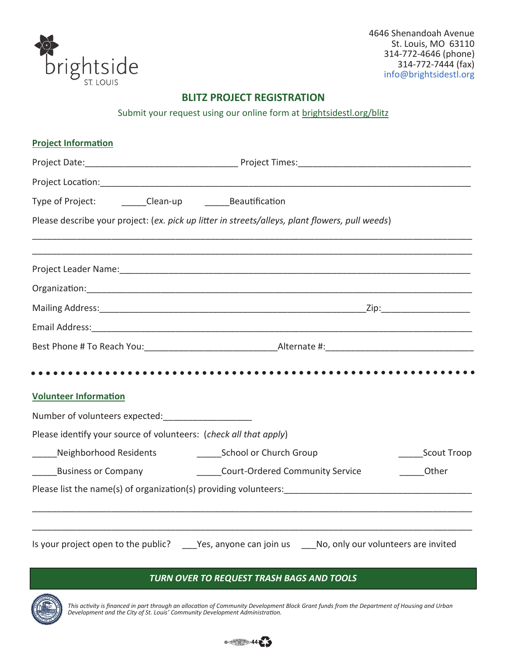

## **BLITZ PROJECT REGISTRATION**

Submit your request using our online form at brightsidestl.org/blitz

| <b>Project Information</b>                                        |                                                                                                             |              |  |  |  |  |  |  |
|-------------------------------------------------------------------|-------------------------------------------------------------------------------------------------------------|--------------|--|--|--|--|--|--|
|                                                                   |                                                                                                             |              |  |  |  |  |  |  |
|                                                                   |                                                                                                             |              |  |  |  |  |  |  |
|                                                                   |                                                                                                             |              |  |  |  |  |  |  |
|                                                                   | Please describe your project: (ex. pick up litter in streets/alleys, plant flowers, pull weeds)             |              |  |  |  |  |  |  |
|                                                                   |                                                                                                             |              |  |  |  |  |  |  |
|                                                                   |                                                                                                             |              |  |  |  |  |  |  |
|                                                                   |                                                                                                             |              |  |  |  |  |  |  |
|                                                                   |                                                                                                             |              |  |  |  |  |  |  |
|                                                                   |                                                                                                             |              |  |  |  |  |  |  |
|                                                                   |                                                                                                             |              |  |  |  |  |  |  |
| <b>Volunteer Information</b>                                      |                                                                                                             |              |  |  |  |  |  |  |
|                                                                   |                                                                                                             |              |  |  |  |  |  |  |
| Please identify your source of volunteers: (check all that apply) |                                                                                                             |              |  |  |  |  |  |  |
|                                                                   |                                                                                                             | Scout Troop  |  |  |  |  |  |  |
|                                                                   | _______Business or Company ___________________Court-Ordered Community Service                               | <b>Other</b> |  |  |  |  |  |  |
|                                                                   |                                                                                                             |              |  |  |  |  |  |  |
|                                                                   |                                                                                                             |              |  |  |  |  |  |  |
|                                                                   | Is your project open to the public? ______Yes, anyone can join us ______No, only our volunteers are invited |              |  |  |  |  |  |  |
|                                                                   |                                                                                                             |              |  |  |  |  |  |  |

## *TURN OVER TO REQUEST TRASH BAGS AND TOOLS*

This activity is financed in part through an allocation of Community Development Block Grant funds from the Department of Housing and Urban<br>Development and the City of St. Louis' Community Development Administration.